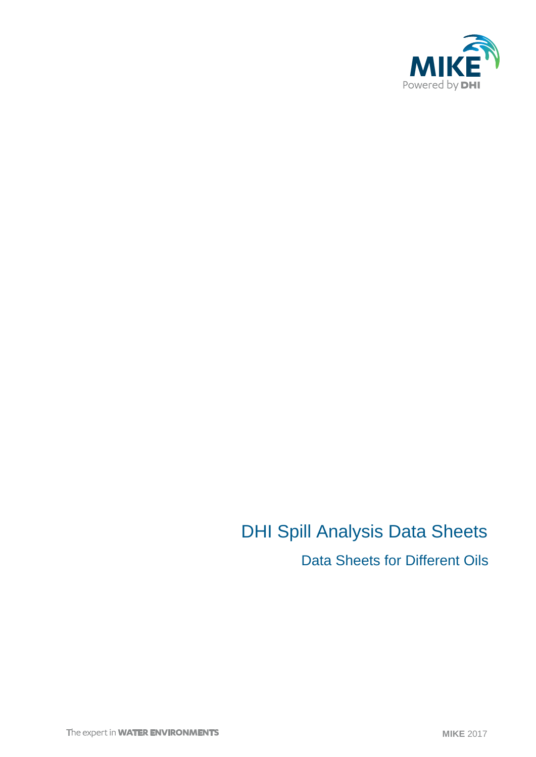

# DHI Spill Analysis Data Sheets Data Sheets for Different Oils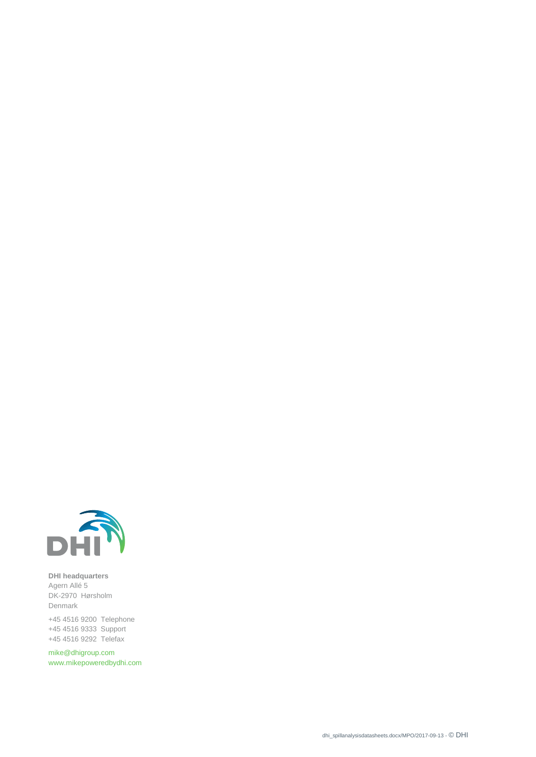

**DHI headquarters** Agern Allé 5 DK-2970 Hørsholm Denmark

+45 4516 9200 Telephone +45 4516 9333 Support +45 4516 9292 Telefax

mike@dhigroup.com www.mikepoweredbydhi.com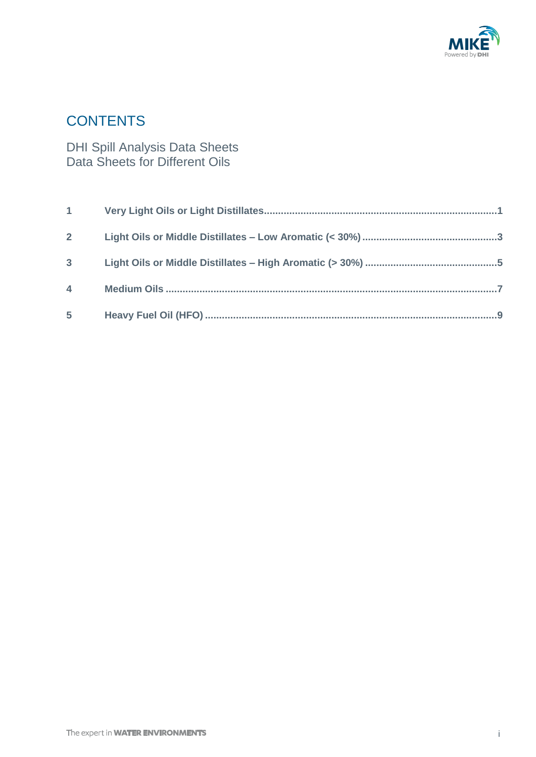

#### **CONTENTS**

DHI Spill Analysis Data Sheets Data Sheets for Different Oils

| $1 - 1$        |  |
|----------------|--|
| 2 <sup>1</sup> |  |
| 3              |  |
| $\overline{4}$ |  |
| 5              |  |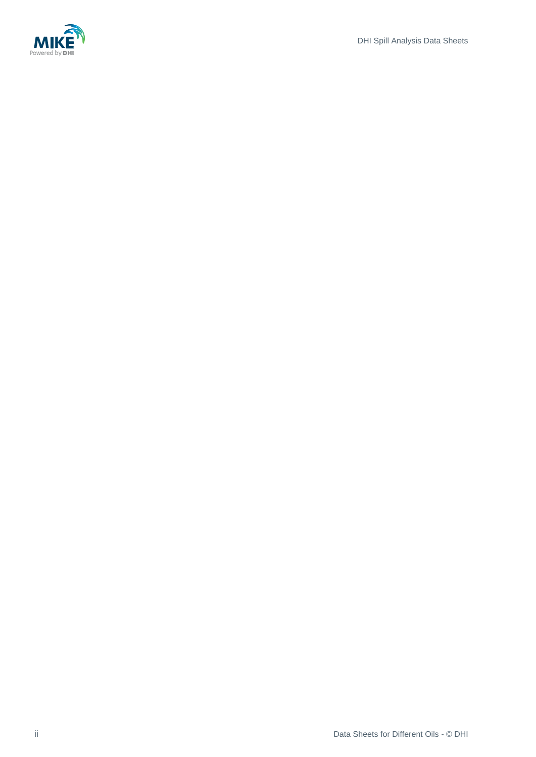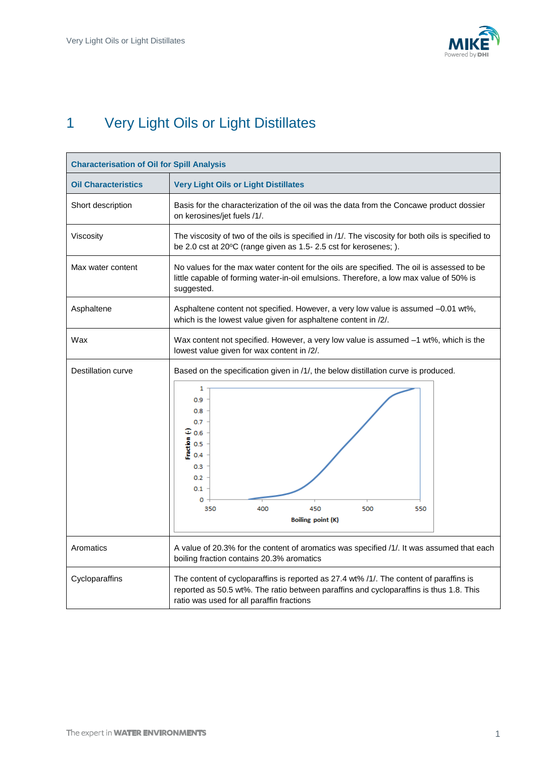

# 1 Very Light Oils or Light Distillates

| <b>Characterisation of Oil for Spill Analysis</b> |                                                                                                                                                                                                                                                                      |  |  |  |  |
|---------------------------------------------------|----------------------------------------------------------------------------------------------------------------------------------------------------------------------------------------------------------------------------------------------------------------------|--|--|--|--|
| <b>Oil Characteristics</b>                        | <b>Very Light Oils or Light Distillates</b>                                                                                                                                                                                                                          |  |  |  |  |
| Short description                                 | Basis for the characterization of the oil was the data from the Concawe product dossier<br>on kerosines/jet fuels /1/.                                                                                                                                               |  |  |  |  |
| Viscosity                                         | The viscosity of two of the oils is specified in /1/. The viscosity for both oils is specified to<br>be 2.0 cst at 20°C (range given as 1.5-2.5 cst for kerosenes; ).                                                                                                |  |  |  |  |
| Max water content                                 | No values for the max water content for the oils are specified. The oil is assessed to be<br>little capable of forming water-in-oil emulsions. Therefore, a low max value of 50% is<br>suggested.                                                                    |  |  |  |  |
| Asphaltene                                        | Asphaltene content not specified. However, a very low value is assumed -0.01 wt%,<br>which is the lowest value given for asphaltene content in /2/.                                                                                                                  |  |  |  |  |
| Wax                                               | Wax content not specified. However, a very low value is assumed -1 wt%, which is the<br>lowest value given for wax content in /2/.                                                                                                                                   |  |  |  |  |
| Destillation curve                                | Based on the specification given in /1/, the below distillation curve is produced.<br>1<br>0.9<br>0.8<br>0.7<br>$\mathfrak{D}_{[0,6]}$<br>$\frac{5}{16}$ 0.5<br>$\frac{1}{16}$ 0.4<br>0.3<br>0.2<br>0.1<br>0<br>350<br>400<br>450<br>500<br>550<br>Boiling point (K) |  |  |  |  |
| Aromatics                                         | A value of 20.3% for the content of aromatics was specified /1/. It was assumed that each<br>boiling fraction contains 20.3% aromatics                                                                                                                               |  |  |  |  |
| Cycloparaffins                                    | The content of cycloparaffins is reported as 27.4 wt% /1/. The content of paraffins is<br>reported as 50.5 wt%. The ratio between paraffins and cycloparaffins is thus 1.8. This<br>ratio was used for all paraffin fractions                                        |  |  |  |  |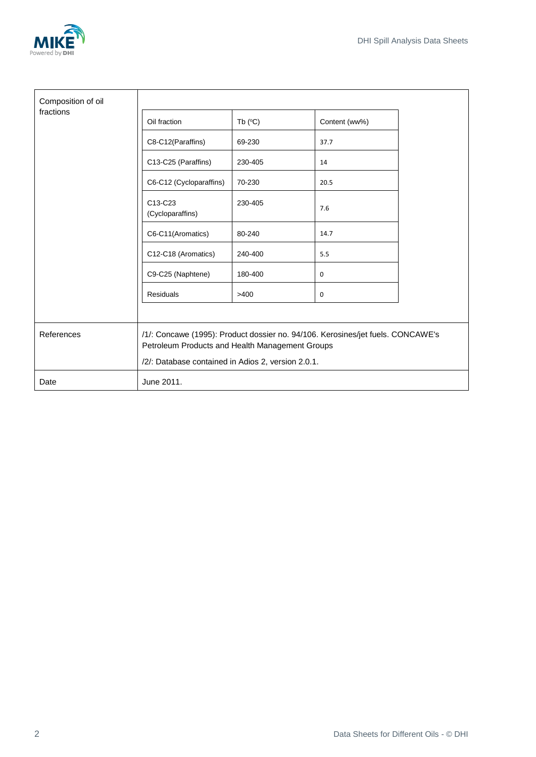

| Composition of oil |                                                                                                                                                                                          |          |               |  |  |
|--------------------|------------------------------------------------------------------------------------------------------------------------------------------------------------------------------------------|----------|---------------|--|--|
| fractions          | Oil fraction                                                                                                                                                                             | Tb $(C)$ | Content (ww%) |  |  |
|                    | C8-C12(Paraffins)                                                                                                                                                                        | 69-230   | 37.7          |  |  |
|                    | C13-C25 (Paraffins)                                                                                                                                                                      | 230-405  | 14            |  |  |
|                    | C6-C12 (Cycloparaffins)                                                                                                                                                                  | 70-230   | 20.5          |  |  |
|                    | C13-C23<br>(Cycloparaffins)                                                                                                                                                              | 230-405  | 7.6           |  |  |
|                    | C6-C11(Aromatics)                                                                                                                                                                        | 80-240   | 14.7          |  |  |
|                    | C12-C18 (Aromatics)                                                                                                                                                                      | 240-400  | 5.5           |  |  |
|                    | C9-C25 (Naphtene)                                                                                                                                                                        | 180-400  | 0             |  |  |
|                    | <b>Residuals</b>                                                                                                                                                                         | >400     | 0             |  |  |
|                    |                                                                                                                                                                                          |          |               |  |  |
| References         | /1/: Concawe (1995): Product dossier no. 94/106. Kerosines/jet fuels. CONCAWE's<br>Petroleum Products and Health Management Groups<br>/2/: Database contained in Adios 2, version 2.0.1. |          |               |  |  |
| Date               | June 2011.                                                                                                                                                                               |          |               |  |  |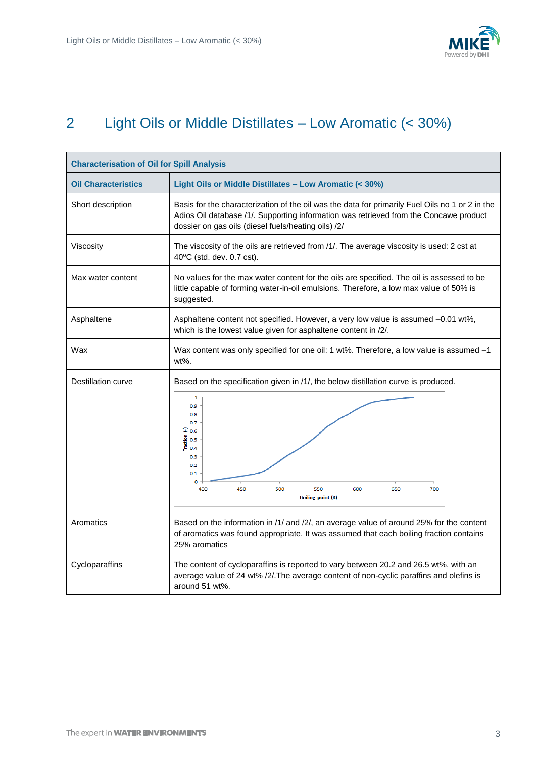

## 2 Light Oils or Middle Distillates – Low Aromatic (< 30%)

| <b>Characterisation of Oil for Spill Analysis</b> |                                                                                                                                                                                                                                                                                |  |  |  |
|---------------------------------------------------|--------------------------------------------------------------------------------------------------------------------------------------------------------------------------------------------------------------------------------------------------------------------------------|--|--|--|
| <b>Oil Characteristics</b>                        | Light Oils or Middle Distillates - Low Aromatic (< 30%)                                                                                                                                                                                                                        |  |  |  |
| Short description                                 | Basis for the characterization of the oil was the data for primarily Fuel Oils no 1 or 2 in the<br>Adios Oil database /1/. Supporting information was retrieved from the Concawe product<br>dossier on gas oils (diesel fuels/heating oils) /2/                                |  |  |  |
| Viscosity                                         | The viscosity of the oils are retrieved from /1/. The average viscosity is used: 2 cst at<br>40°C (std. dev. 0.7 cst).                                                                                                                                                         |  |  |  |
| Max water content                                 | No values for the max water content for the oils are specified. The oil is assessed to be<br>little capable of forming water-in-oil emulsions. Therefore, a low max value of 50% is<br>suggested.                                                                              |  |  |  |
| Asphaltene                                        | Asphaltene content not specified. However, a very low value is assumed -0.01 wt%,<br>which is the lowest value given for asphaltene content in /2/.                                                                                                                            |  |  |  |
| Wax                                               | Wax content was only specified for one oil: 1 wt%. Therefore, a low value is assumed -1<br>wt%.                                                                                                                                                                                |  |  |  |
| Destillation curve                                | Based on the specification given in /1/, the below distillation curve is produced.<br>1<br>0.9<br>0.8<br>0.7<br>$\mathfrak{D}_{0.6}$<br>$\frac{5}{6}$ 0.5<br>$\frac{5}{6}$ 0.4<br>0.3<br>0.2<br>0.1<br>o<br>450<br>400<br>500<br>550<br>600<br>650<br>700<br>Boiling point (K) |  |  |  |
| Aromatics                                         | Based on the information in /1/ and /2/, an average value of around 25% for the content<br>of aromatics was found appropriate. It was assumed that each boiling fraction contains<br>25% aromatics                                                                             |  |  |  |
| Cycloparaffins                                    | The content of cycloparaffins is reported to vary between 20.2 and 26.5 wt%, with an<br>average value of 24 wt% /2/. The average content of non-cyclic paraffins and olefins is<br>around 51 wt%.                                                                              |  |  |  |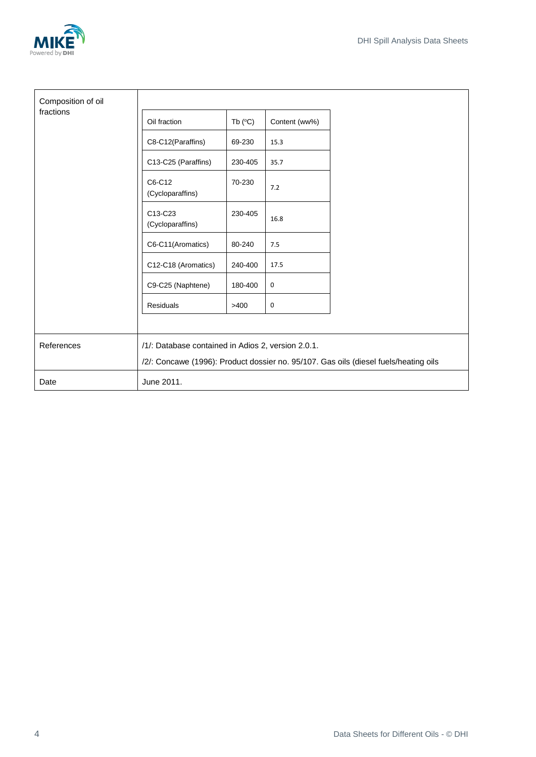

| Composition of oil                                                                   |                                                    |          |               |  |
|--------------------------------------------------------------------------------------|----------------------------------------------------|----------|---------------|--|
| fractions                                                                            | Oil fraction                                       | Tb $(C)$ | Content (ww%) |  |
|                                                                                      | C8-C12(Paraffins)                                  | 69-230   | 15.3          |  |
|                                                                                      | C13-C25 (Paraffins)                                | 230-405  | 35.7          |  |
|                                                                                      | C6-C12<br>(Cycloparaffins)                         | 70-230   | 7.2           |  |
|                                                                                      | C13-C23<br>(Cycloparaffins)                        | 230-405  | 16.8          |  |
|                                                                                      | C6-C11(Aromatics)                                  | 80-240   | 7.5           |  |
|                                                                                      | C12-C18 (Aromatics)                                | 240-400  | 17.5          |  |
|                                                                                      | C9-C25 (Naphtene)                                  | 180-400  | 0             |  |
|                                                                                      | <b>Residuals</b>                                   | >400     | 0             |  |
|                                                                                      |                                                    |          |               |  |
| References                                                                           | /1/: Database contained in Adios 2, version 2.0.1. |          |               |  |
| /2/: Concawe (1996): Product dossier no. 95/107. Gas oils (diesel fuels/heating oils |                                                    |          |               |  |
| Date                                                                                 | June 2011.                                         |          |               |  |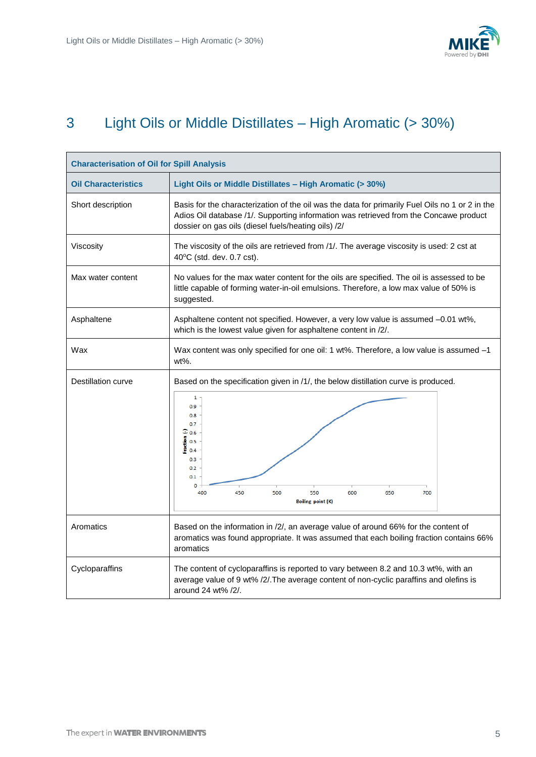

## 3 Light Oils or Middle Distillates – High Aromatic (> 30%)

| <b>Characterisation of Oil for Spill Analysis</b> |                                                                                                                                                                                                                                                                        |  |  |  |  |
|---------------------------------------------------|------------------------------------------------------------------------------------------------------------------------------------------------------------------------------------------------------------------------------------------------------------------------|--|--|--|--|
| <b>Oil Characteristics</b>                        | Light Oils or Middle Distillates - High Aromatic (> 30%)                                                                                                                                                                                                               |  |  |  |  |
| Short description                                 | Basis for the characterization of the oil was the data for primarily Fuel Oils no 1 or 2 in the<br>Adios Oil database /1/. Supporting information was retrieved from the Concawe product<br>dossier on gas oils (diesel fuels/heating oils) /2/                        |  |  |  |  |
| Viscosity                                         | The viscosity of the oils are retrieved from /1/. The average viscosity is used: 2 cst at<br>40°C (std. dev. 0.7 cst).                                                                                                                                                 |  |  |  |  |
| Max water content                                 | No values for the max water content for the oils are specified. The oil is assessed to be<br>little capable of forming water-in-oil emulsions. Therefore, a low max value of 50% is<br>suggested.                                                                      |  |  |  |  |
| Asphaltene                                        | Asphaltene content not specified. However, a very low value is assumed -0.01 wt%,<br>which is the lowest value given for asphaltene content in /2/.                                                                                                                    |  |  |  |  |
| Wax                                               | Wax content was only specified for one oil: 1 wt%. Therefore, a low value is assumed -1<br>wt%.                                                                                                                                                                        |  |  |  |  |
| Destillation curve                                | Based on the specification given in /1/, the below distillation curve is produced.<br>1<br>0.9<br>0.8<br>0.7<br>⊕ 0.6<br>$\frac{5}{6}$ 0.5<br>$\frac{5}{6}$ 0.4<br>0.3<br>0.2<br>0.1<br>Ō<br>450<br>500<br>600<br>650<br>700<br>400<br>550<br><b>Boiling point (K)</b> |  |  |  |  |
| Aromatics                                         | Based on the information in /2/, an average value of around 66% for the content of<br>aromatics was found appropriate. It was assumed that each boiling fraction contains 66%<br>aromatics                                                                             |  |  |  |  |
| Cycloparaffins                                    | The content of cycloparaffins is reported to vary between 8.2 and 10.3 wt%, with an<br>average value of 9 wt% /2/. The average content of non-cyclic paraffins and olefins is<br>around 24 wt% /2/.                                                                    |  |  |  |  |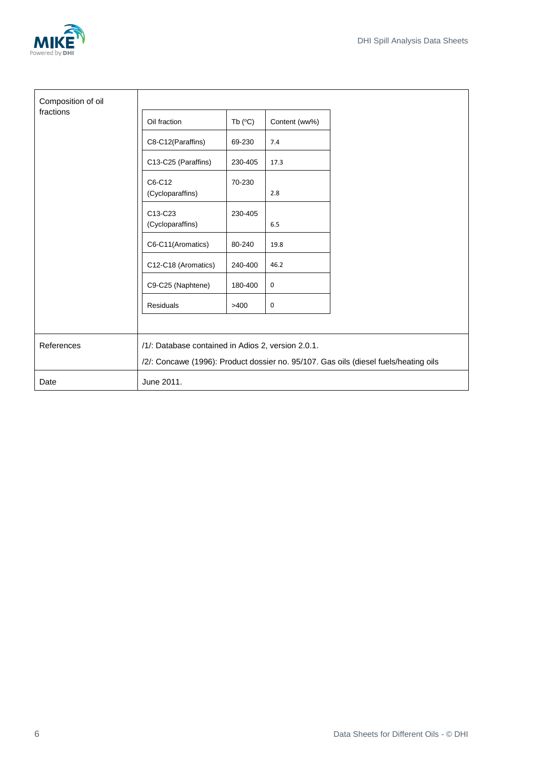

| Composition of oil |                                                                                      |          |               |  |
|--------------------|--------------------------------------------------------------------------------------|----------|---------------|--|
| fractions          | Oil fraction                                                                         | Tb $(C)$ | Content (ww%) |  |
|                    | C8-C12(Paraffins)                                                                    | 69-230   | 7.4           |  |
|                    | C13-C25 (Paraffins)                                                                  | 230-405  | 17.3          |  |
|                    | C6-C12<br>(Cycloparaffins)                                                           | 70-230   | 2.8           |  |
|                    | C13-C23<br>(Cycloparaffins)                                                          | 230-405  | 6.5           |  |
|                    | C6-C11(Aromatics)                                                                    | 80-240   | 19.8          |  |
|                    | C12-C18 (Aromatics)                                                                  | 240-400  | 46.2          |  |
|                    | C9-C25 (Naphtene)                                                                    | 180-400  | $\mathbf 0$   |  |
|                    | <b>Residuals</b>                                                                     | >400     | $\mathbf 0$   |  |
|                    |                                                                                      |          |               |  |
| References         | /1/: Database contained in Adios 2, version 2.0.1.                                   |          |               |  |
|                    | /2/: Concawe (1996): Product dossier no. 95/107. Gas oils (diesel fuels/heating oils |          |               |  |
| Date               | June 2011.                                                                           |          |               |  |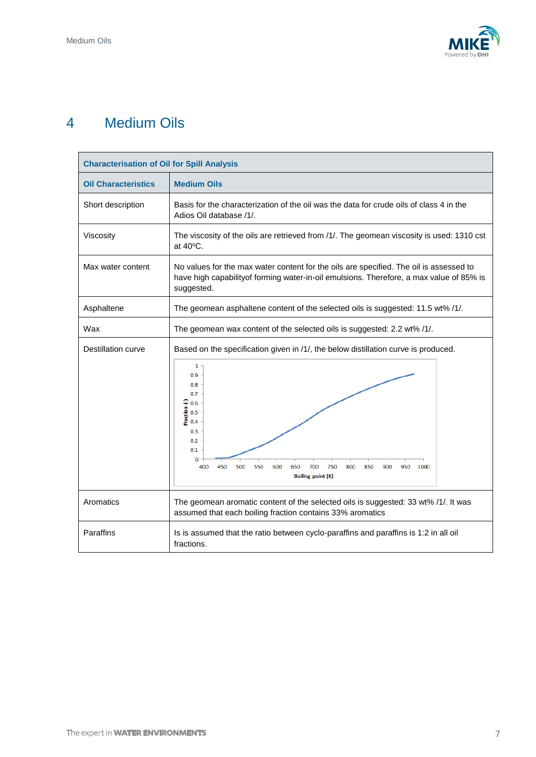

#### 4 Medium Oils

| <b>Characterisation of Oil for Spill Analysis</b> |                                                                                                                                                                                                                                                                                                       |  |  |  |  |
|---------------------------------------------------|-------------------------------------------------------------------------------------------------------------------------------------------------------------------------------------------------------------------------------------------------------------------------------------------------------|--|--|--|--|
| <b>Oil Characteristics</b>                        | <b>Medium Oils</b>                                                                                                                                                                                                                                                                                    |  |  |  |  |
| Short description                                 | Basis for the characterization of the oil was the data for crude oils of class 4 in the<br>Adios Oil database /1/.                                                                                                                                                                                    |  |  |  |  |
| Viscosity                                         | The viscosity of the oils are retrieved from /1/. The geomean viscosity is used: 1310 cst<br>at $40^{\circ}$ C.                                                                                                                                                                                       |  |  |  |  |
| Max water content                                 | No values for the max water content for the oils are specified. The oil is assessed to<br>have high capabilityof forming water-in-oil emulsions. Therefore, a max value of 85% is<br>suggested.                                                                                                       |  |  |  |  |
| Asphaltene                                        | The geomean asphaltene content of the selected oils is suggested: 11.5 wt% /1/.                                                                                                                                                                                                                       |  |  |  |  |
| Wax                                               | The geomean wax content of the selected oils is suggested: 2.2 wt% /1/.                                                                                                                                                                                                                               |  |  |  |  |
| Destillation curve                                | Based on the specification given in /1/, the below distillation curve is produced.<br>1<br>0.9<br>0.8<br>0.7<br>고 <sub>0.6</sub><br>incl.ion<br>0.5<br>0.4<br>0.3<br>0.2<br>0.1<br>O<br>400<br>450<br>500<br>650<br>700<br>750<br>800<br>850<br>550<br>600<br>900<br>950<br>1000<br>Boiling point (K) |  |  |  |  |
| Aromatics                                         | The geomean aromatic content of the selected oils is suggested: 33 wt% /1/. It was<br>assumed that each boiling fraction contains 33% aromatics                                                                                                                                                       |  |  |  |  |
| Paraffins                                         | Is is assumed that the ratio between cyclo-paraffins and paraffins is 1:2 in all oil<br>fractions.                                                                                                                                                                                                    |  |  |  |  |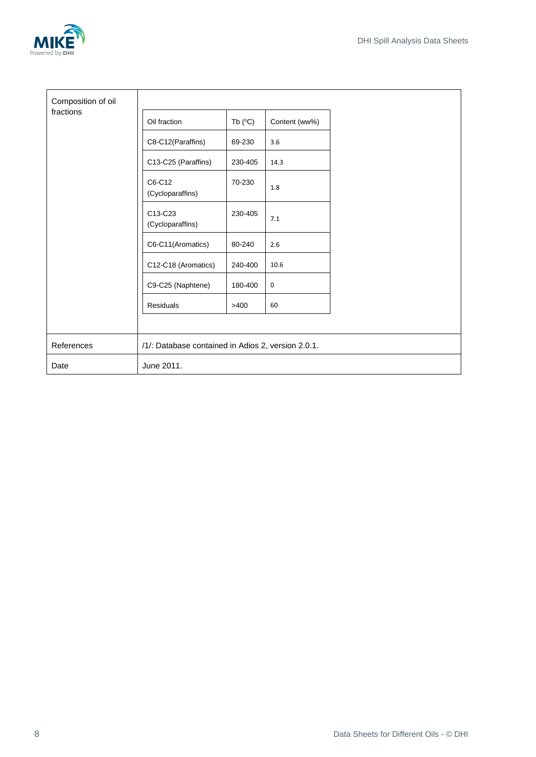

| Composition of oil<br>fractions |                                                    |          |               |  |
|---------------------------------|----------------------------------------------------|----------|---------------|--|
|                                 | Oil fraction                                       | Tb $(C)$ | Content (ww%) |  |
|                                 | C8-C12(Paraffins)                                  | 69-230   | 3.6           |  |
|                                 | C13-C25 (Paraffins)                                | 230-405  | 14.3          |  |
|                                 | C6-C12<br>(Cycloparaffins)                         | 70-230   | 1.8           |  |
|                                 | C13-C23<br>(Cycloparaffins)                        | 230-405  | 7.1           |  |
|                                 | C6-C11(Aromatics)                                  | 80-240   | 2.6           |  |
|                                 | C12-C18 (Aromatics)                                | 240-400  | 10.6          |  |
|                                 | C9-C25 (Naphtene)                                  | 180-400  | $\mathbf 0$   |  |
|                                 | <b>Residuals</b>                                   | >400     | 60            |  |
|                                 |                                                    |          |               |  |
| References                      | /1/: Database contained in Adios 2, version 2.0.1. |          |               |  |
| Date                            | June 2011.                                         |          |               |  |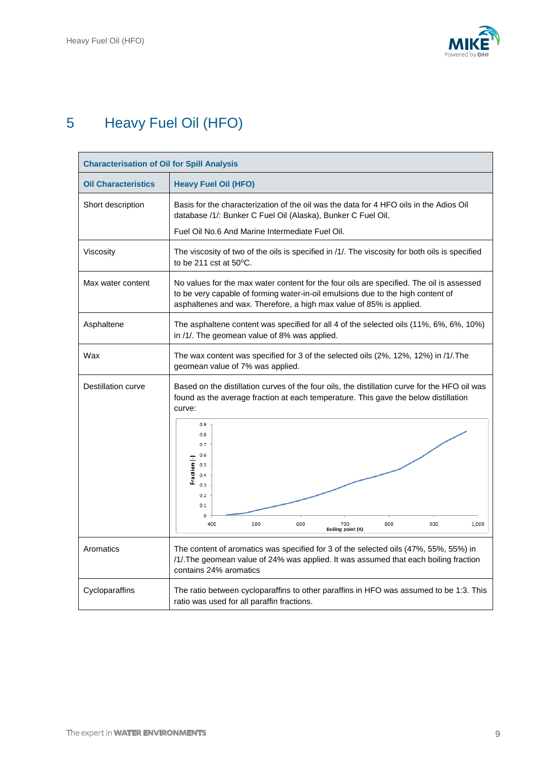

## 5 Heavy Fuel Oil (HFO)

| <b>Characterisation of Oil for Spill Analysis</b> |                                                                                                                                                                                                                                                    |  |  |  |  |  |
|---------------------------------------------------|----------------------------------------------------------------------------------------------------------------------------------------------------------------------------------------------------------------------------------------------------|--|--|--|--|--|
| <b>Oil Characteristics</b>                        | <b>Heavy Fuel Oil (HFO)</b>                                                                                                                                                                                                                        |  |  |  |  |  |
| Short description                                 | Basis for the characterization of the oil was the data for 4 HFO oils in the Adios Oil<br>database /1/: Bunker C Fuel Oil (Alaska), Bunker C Fuel Oil,                                                                                             |  |  |  |  |  |
|                                                   | Fuel Oil No.6 And Marine Intermediate Fuel Oil.                                                                                                                                                                                                    |  |  |  |  |  |
| Viscosity                                         | The viscosity of two of the oils is specified in /1/. The viscosity for both oils is specified<br>to be 211 cst at $50^{\circ}$ C.                                                                                                                 |  |  |  |  |  |
| Max water content                                 | No values for the max water content for the four oils are specified. The oil is assessed<br>to be very capable of forming water-in-oil emulsions due to the high content of<br>asphaltenes and wax. Therefore, a high max value of 85% is applied. |  |  |  |  |  |
| Asphaltene                                        | The asphaltene content was specified for all 4 of the selected oils (11%, 6%, 6%, 10%)<br>in /1/. The geomean value of 8% was applied.                                                                                                             |  |  |  |  |  |
| Wax                                               | The wax content was specified for 3 of the selected oils (2%, 12%, 12%) in /1/. The<br>geomean value of 7% was applied.                                                                                                                            |  |  |  |  |  |
| <b>Destillation curve</b>                         | Based on the distillation curves of the four oils, the distillation curve for the HFO oil was<br>found as the average fraction at each temperature. This gave the below distillation<br>curve:<br>0.9                                              |  |  |  |  |  |
|                                                   | 0.8<br>0.7<br>0.6<br>Fraction (-)<br>0.5<br>0.4<br>0.3<br>0.2<br>0.1<br>o<br>500<br>600<br>800<br>900<br>400<br>700<br>1.000<br>Boiling point (K)                                                                                                  |  |  |  |  |  |
| Aromatics                                         | The content of aromatics was specified for 3 of the selected oils (47%, 55%, 55%) in<br>/1/. The geomean value of 24% was applied. It was assumed that each boiling fraction<br>contains 24% aromatics                                             |  |  |  |  |  |
| Cycloparaffins                                    | The ratio between cycloparaffins to other paraffins in HFO was assumed to be 1:3. This<br>ratio was used for all paraffin fractions.                                                                                                               |  |  |  |  |  |